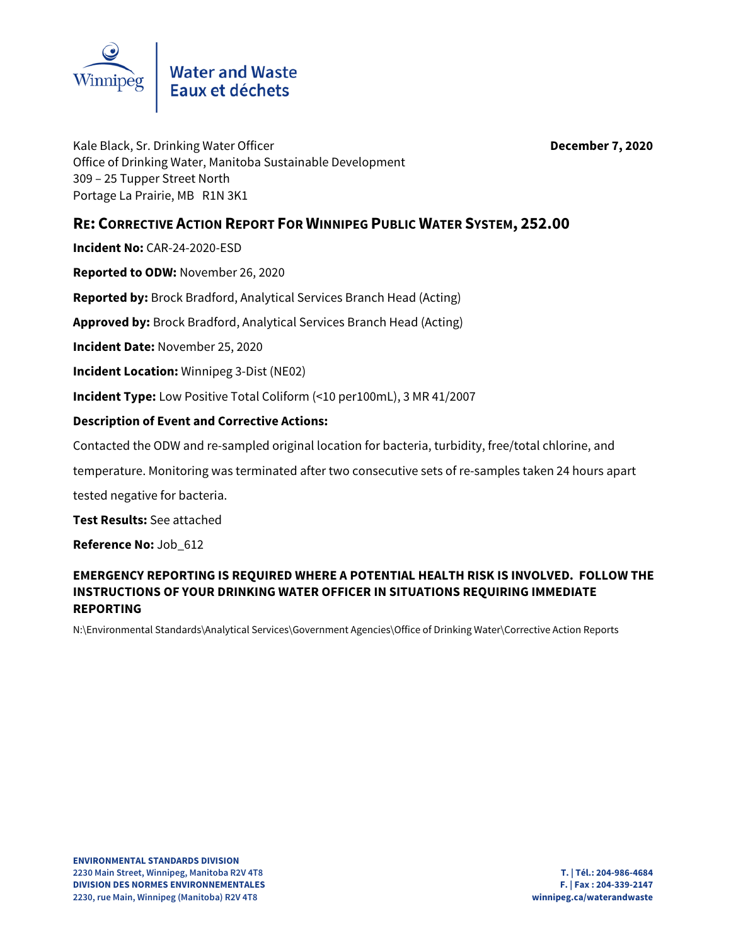

Kale Black, Sr. Drinking Water Officer **December 7, 2020** Office of Drinking Water, Manitoba Sustainable Development 309 – 25 Tupper Street North Portage La Prairie, MB R1N 3K1

## **RE: CORRECTIVE ACTION REPORT FOR WINNIPEG PUBLIC WATER SYSTEM, 252.00**

**Incident No:** CAR-24-2020-ESD

**Reported to ODW:** November 26, 2020

**Reported by:** Brock Bradford, Analytical Services Branch Head (Acting)

**Approved by:** Brock Bradford, Analytical Services Branch Head (Acting)

**Incident Date:** November 25, 2020

**Incident Location:** Winnipeg 3-Dist (NE02)

**Incident Type:** Low Positive Total Coliform (<10 per100mL), 3 MR 41/2007

## **Description of Event and Corrective Actions:**

Contacted the ODW and re-sampled original location for bacteria, turbidity, free/total chlorine, and

temperature. Monitoring was terminated after two consecutive sets of re-samples taken 24 hours apart

tested negative for bacteria.

**Test Results:** See attached

**Reference No:** Job\_612

## **EMERGENCY REPORTING IS REQUIRED WHERE A POTENTIAL HEALTH RISK IS INVOLVED. FOLLOW THE INSTRUCTIONS OF YOUR DRINKING WATER OFFICER IN SITUATIONS REQUIRING IMMEDIATE REPORTING**

N:\Environmental Standards\Analytical Services\Government Agencies\Office of Drinking Water\Corrective Action Reports